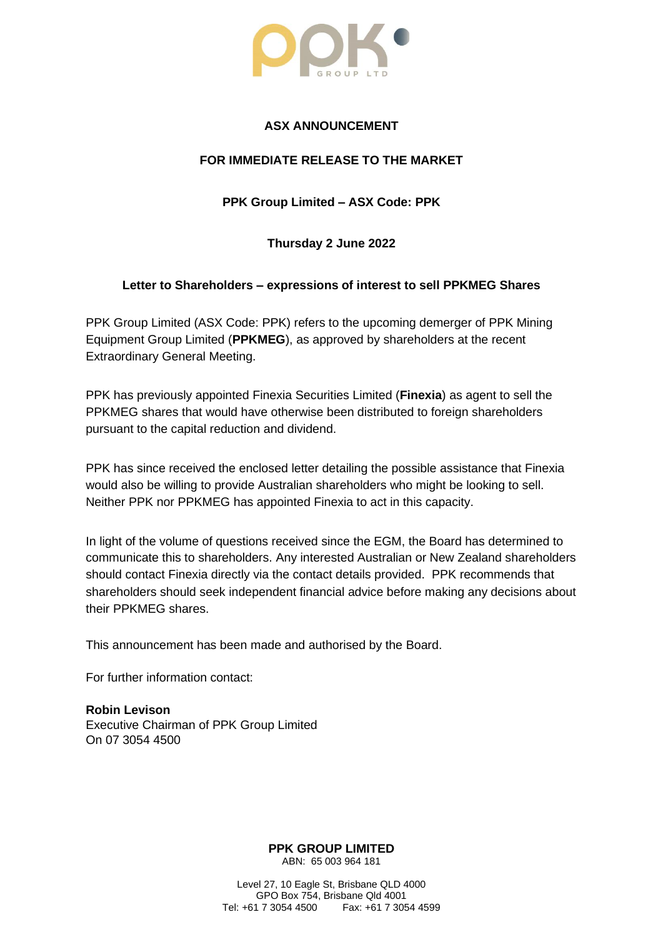

## **ASX ANNOUNCEMENT**

## **FOR IMMEDIATE RELEASE TO THE MARKET**

**PPK Group Limited – ASX Code: PPK**

**Thursday 2 June 2022**

## **Letter to Shareholders – expressions of interest to sell PPKMEG Shares**

PPK Group Limited (ASX Code: PPK) refers to the upcoming demerger of PPK Mining Equipment Group Limited (**PPKMEG**), as approved by shareholders at the recent Extraordinary General Meeting.

PPK has previously appointed Finexia Securities Limited (**Finexia**) as agent to sell the PPKMEG shares that would have otherwise been distributed to foreign shareholders pursuant to the capital reduction and dividend.

PPK has since received the enclosed letter detailing the possible assistance that Finexia would also be willing to provide Australian shareholders who might be looking to sell. Neither PPK nor PPKMEG has appointed Finexia to act in this capacity.

In light of the volume of questions received since the EGM, the Board has determined to communicate this to shareholders. Any interested Australian or New Zealand shareholders should contact Finexia directly via the contact details provided. PPK recommends that shareholders should seek independent financial advice before making any decisions about their PPKMEG shares.

This announcement has been made and authorised by the Board.

For further information contact:

**Robin Levison** Executive Chairman of PPK Group Limited On 07 3054 4500

> **PPK GROUP LIMITED** ABN: 65 003 964 181

Level 27, 10 Eagle St, Brisbane QLD 4000 GPO Box 754, Brisbane Qld 4001<br>Tel: +61 7 3054 4500 Fax: +61 7 305 Fax: +61 7 3054 4599